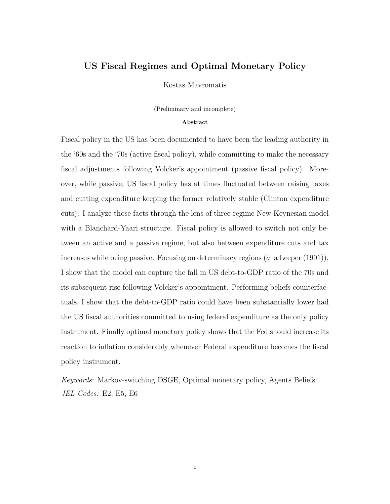# **US Fiscal Regimes and Optimal Monetary Policy**

Kostas Mavromatis

(Preliminary and incomplete)

#### **Abstract**

Fiscal policy in the US has been documented to have been the leading authority in the '60s and the '70s (active fiscal policy), while committing to make the necessary fiscal adjustments following Volcker's appointment (passive fiscal policy). Moreover, while passive, US fiscal policy has at times fluctuated between raising taxes and cutting expenditure keeping the former relatively stable (Clinton expenditure cuts). I analyze those facts through the lens of three-regime New-Keynesian model with a Blanchard-Yaari structure. Fiscal policy is allowed to switch not only between an active and a passive regime, but also between expenditure cuts and tax increases while being passive. Focusing on determinacy regions (*a*` la Leeper (1991)), I show that the model can capture the fall in US debt-to-GDP ratio of the 70s and its subsequent rise following Volcker's appointment. Performing beliefs counterfactuals, I show that the debt-to-GDP ratio could have been substantially lower had the US fiscal authorities committed to using federal expenditure as the only policy instrument. Finally optimal monetary policy shows that the Fed should increase its reaction to inflation considerably whenever Federal expenditure becomes the fiscal policy instrument.

*Keywords*: Markov-switching DSGE, Optimal monetary policy, Agents Beliefs *JEL Codes:* E2, E5, E6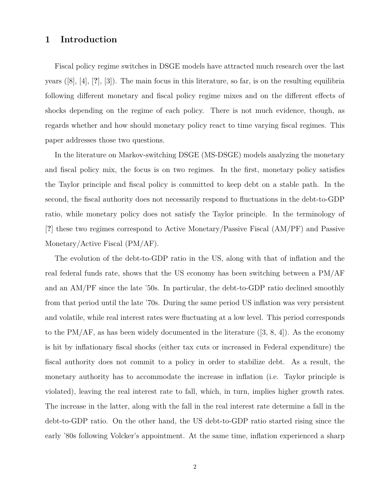# **1 Introduction**

Fiscal policy regime switches in DSGE models have attracted much research over the last years ([8], [4], [**?**], [3]). The main focus in this literature, so far, is on the resulting equilibria following different monetary and fiscal policy regime mixes and on the different effects of shocks depending on the regime of each policy. There is not much evidence, though, as regards whether and how should monetary policy react to time varying fiscal regimes. This paper addresses those two questions.

In the literature on Markov-switching DSGE (MS-DSGE) models analyzing the monetary and fiscal policy mix, the focus is on two regimes. In the first, monetary policy satisfies the Taylor principle and fiscal policy is committed to keep debt on a stable path. In the second, the fiscal authority does not necessarily respond to fluctuations in the debt-to-GDP ratio, while monetary policy does not satisfy the Taylor principle. In the terminology of [**?**] these two regimes correspond to Active Monetary/Passive Fiscal (AM/PF) and Passive Monetary/Active Fiscal (PM/AF).

The evolution of the debt-to-GDP ratio in the US, along with that of inflation and the real federal funds rate, shows that the US economy has been switching between a PM/AF and an AM/PF since the late '50s. In particular, the debt-to-GDP ratio declined smoothly from that period until the late '70s. During the same period US inflation was very persistent and volatile, while real interest rates were fluctuating at a low level. This period corresponds to the PM/AF, as has been widely documented in the literature  $([3, 8, 4])$ . As the economy is hit by inflationary fiscal shocks (either tax cuts or increased in Federal expenditure) the fiscal authority does not commit to a policy in order to stabilize debt. As a result, the monetary authority has to accommodate the increase in inflation (i.e. Taylor principle is violated), leaving the real interest rate to fall, which, in turn, implies higher growth rates. The increase in the latter, along with the fall in the real interest rate determine a fall in the debt-to-GDP ratio. On the other hand, the US debt-to-GDP ratio started rising since the early '80s following Volcker's appointment. At the same time, inflation experienced a sharp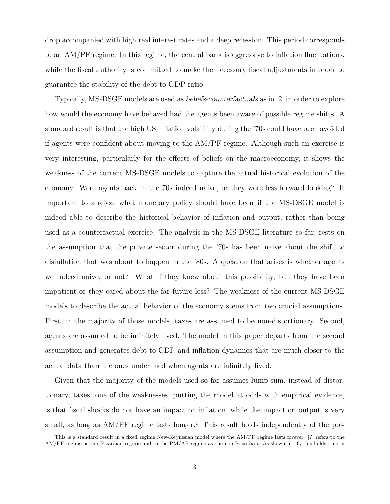drop accompanied with high real interest rates and a deep recession. This period corresponds to an AM/PF regime. In this regime, the central bank is aggressive to inflation fluctuations, while the fiscal authority is committed to make the necessary fiscal adjustments in order to guarantee the stability of the debt-to-GDP ratio.

Typically, MS-DSGE models are used as *beliefs-counterfactuals* as in [2] in order to explore how would the economy have behaved had the agents been aware of possible regime shifts. A standard result is that the high US inflation volatility during the '70s could have been avoided if agents were confident about moving to the AM/PF regime. Although such an exercise is very interesting, particularly for the effects of beliefs on the macroeconomy, it shows the weakness of the current MS-DSGE models to capture the actual historical evolution of the economy. Were agents back in the 70s indeed naive, or they were less forward looking? It important to analyze what monetary policy should have been if the MS-DSGE model is indeed able to describe the historical behavior of inflation and output, rather than being used as a counterfactual exercise. The analysis in the MS-DSGE literature so far, rests on the assumption that the private sector during the '70s has been naive about the shift to disinflation that was about to happen in the '80s. A question that arises is whether agents we indeed naive, or not? What if they knew about this possibility, but they have been impatient or they cared about the far future less? The weakness of the current MS-DSGE models to describe the actual behavior of the economy stems from two crucial assumptions. First, in the majority of those models, taxes are assumed to be non-distortionary. Second, agents are assumed to be infinitely lived. The model in this paper departs from the second assumption and generates debt-to-GDP and inflation dynamics that are much closer to the actual data than the ones underlined when agents are infinitely lived.

Given that the majority of the models used so far assumes lump-sum, instead of distortionary, taxes, one of the weaknesses, putting the model at odds with empirical evidence, is that fiscal shocks do not have an impact on inflation, while the impact on output is very small, as long as  $AM/PF$  regime lasts longer.<sup>1</sup> This result holds independently of the pol-

<sup>1</sup>This is a standard result in a fixed regime New-Keynesian model where the AM/PF regime lasts forever. [**?**] refers to the AM/PF regime as the Ricardian regime and to the PM/AF regime as the non-Ricardian. As shown in [3], this holds true in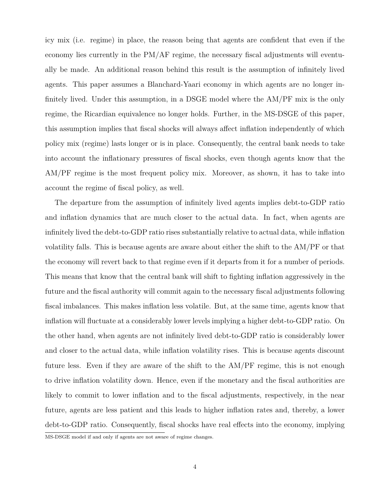icy mix (i.e. regime) in place, the reason being that agents are confident that even if the economy lies currently in the PM/AF regime, the necessary fiscal adjustments will eventually be made. An additional reason behind this result is the assumption of infinitely lived agents. This paper assumes a Blanchard-Yaari economy in which agents are no longer infinitely lived. Under this assumption, in a DSGE model where the AM/PF mix is the only regime, the Ricardian equivalence no longer holds. Further, in the MS-DSGE of this paper, this assumption implies that fiscal shocks will always affect inflation independently of which policy mix (regime) lasts longer or is in place. Consequently, the central bank needs to take into account the inflationary pressures of fiscal shocks, even though agents know that the AM/PF regime is the most frequent policy mix. Moreover, as shown, it has to take into account the regime of fiscal policy, as well.

The departure from the assumption of infinitely lived agents implies debt-to-GDP ratio and inflation dynamics that are much closer to the actual data. In fact, when agents are infinitely lived the debt-to-GDP ratio rises substantially relative to actual data, while inflation volatility falls. This is because agents are aware about either the shift to the AM/PF or that the economy will revert back to that regime even if it departs from it for a number of periods. This means that know that the central bank will shift to fighting inflation aggressively in the future and the fiscal authority will commit again to the necessary fiscal adjustments following fiscal imbalances. This makes inflation less volatile. But, at the same time, agents know that inflation will fluctuate at a considerably lower levels implying a higher debt-to-GDP ratio. On the other hand, when agents are not infinitely lived debt-to-GDP ratio is considerably lower and closer to the actual data, while inflation volatility rises. This is because agents discount future less. Even if they are aware of the shift to the AM/PF regime, this is not enough to drive inflation volatility down. Hence, even if the monetary and the fiscal authorities are likely to commit to lower inflation and to the fiscal adjustments, respectively, in the near future, agents are less patient and this leads to higher inflation rates and, thereby, a lower debt-to-GDP ratio. Consequently, fiscal shocks have real effects into the economy, implying

MS-DSGE model if and only if agents are not aware of regime changes.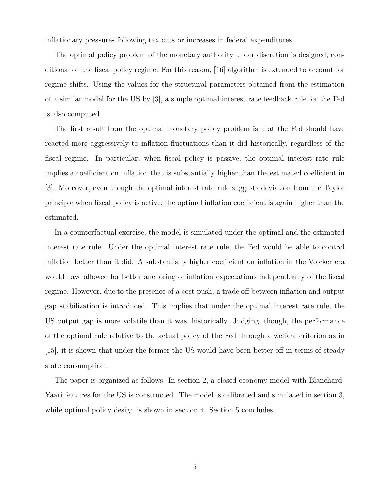inflationary pressures following tax cuts or increases in federal expenditures.

The optimal policy problem of the monetary authority under discretion is designed, conditional on the fiscal policy regime. For this reason, [16] algorithm is extended to account for regime shifts. Using the values for the structural parameters obtained from the estimation of a similar model for the US by [3], a simple optimal interest rate feedback rule for the Fed is also computed.

The first result from the optimal monetary policy problem is that the Fed should have reacted more aggressively to inflation fluctuations than it did historically, regardless of the fiscal regime. In particular, when fiscal policy is passive, the optimal interest rate rule implies a coefficient on inflation that is substantially higher than the estimated coefficient in [3]. Moreover, even though the optimal interest rate rule suggests deviation from the Taylor principle when fiscal policy is active, the optimal inflation coefficient is again higher than the estimated.

In a counterfactual exercise, the model is simulated under the optimal and the estimated interest rate rule. Under the optimal interest rate rule, the Fed would be able to control inflation better than it did. A substantially higher coefficient on inflation in the Volcker era would have allowed for better anchoring of inflation expectations independently of the fiscal regime. However, due to the presence of a cost-push, a trade off between inflation and output gap stabilization is introduced. This implies that under the optimal interest rate rule, the US output gap is more volatile than it was, historically. Judging, though, the performance of the optimal rule relative to the actual policy of the Fed through a welfare criterion as in [15], it is shown that under the former the US would have been better off in terms of steady state consumption.

The paper is organized as follows. In section 2, a closed economy model with Blanchard-Yaari features for the US is constructed. The model is calibrated and simulated in section 3, while optimal policy design is shown in section 4. Section 5 concludes.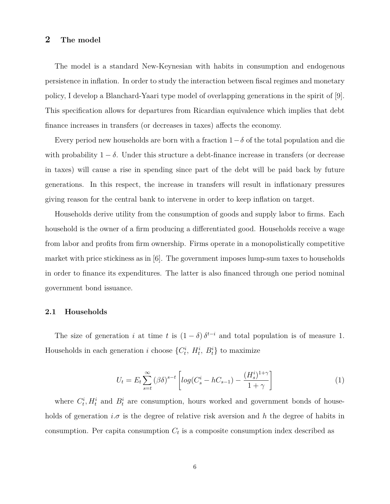# **2 The model**

The model is a standard New-Keynesian with habits in consumption and endogenous persistence in inflation. In order to study the interaction between fiscal regimes and monetary policy, I develop a Blanchard-Yaari type model of overlapping generations in the spirit of [9]. This specification allows for departures from Ricardian equivalence which implies that debt finance increases in transfers (or decreases in taxes) affects the economy.

Every period new households are born with a fraction  $1-\delta$  of the total population and die with probability  $1 - \delta$ . Under this structure a debt-finance increase in transfers (or decrease in taxes) will cause a rise in spending since part of the debt will be paid back by future generations. In this respect, the increase in transfers will result in inflationary pressures giving reason for the central bank to intervene in order to keep inflation on target.

Households derive utility from the consumption of goods and supply labor to firms. Each household is the owner of a firm producing a differentiated good. Households receive a wage from labor and profits from firm ownership. Firms operate in a monopolistically competitive market with price stickiness as in [6]. The government imposes lump-sum taxes to households in order to finance its expenditures. The latter is also financed through one period nominal government bond issuance.

#### **2.1 Households**

The size of generation *i* at time *t* is  $(1 - \delta) \delta^{t-i}$  and total population is of measure 1. Households in each generation *i* choose  $\{C_t^i, H_t^i, B_t^i\}$  to maximize

$$
U_t = E_t \sum_{s=t}^{\infty} (\beta \delta)^{s-t} \left[ \log(C_s^i - hC_{s-1}) - \frac{(H_s^i)^{1+\gamma}}{1+\gamma} \right] \tag{1}
$$

where  $C_t^i$ ,  $H_t^i$  and  $B_t^i$  are consumption, hours worked and government bonds of households of generation  $i.\sigma$  is the degree of relative risk aversion and h the degree of habits in consumption. Per capita consumption  $C_t$  is a composite consumption index described as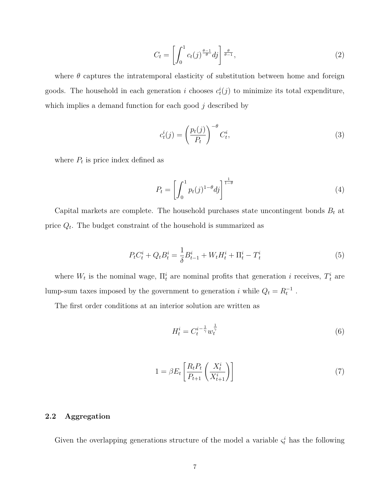$$
C_t = \left[ \int_0^1 c_t(j)^{\frac{\theta - 1}{\theta}} dj \right] \frac{\theta}{\theta - 1},\tag{2}
$$

where  $\theta$  captures the intratemporal elasticity of substitution between home and foreign goods. The household in each generation *i* chooses  $c_t^i(j)$  to minimize its total expenditure, which implies a demand function for each good *j* described by

$$
c_t^i(j) = \left(\frac{p_t(j)}{P_t}\right)^{-\theta} C_t^i,\tag{3}
$$

where  $P_t$  is price index defined as

$$
P_t = \left[ \int_0^1 p_t(j)^{1-\theta} dj \right]^{\frac{1}{1-\theta}}
$$
\n
$$
\tag{4}
$$

Capital markets are complete. The household purchases state uncontingent bonds  $B_t$  at price *Qt*. The budget constraint of the household is summarized as

$$
P_t C_t^i + Q_t B_t^i = \frac{1}{\delta} B_{t-1}^i + W_t H_t^i + \Pi_t^i - T_t^i
$$
\n(5)

where  $W_t$  is the nominal wage,  $\Pi_t^i$  are nominal profits that generation *i* receives,  $T_t^i$  are lump-sum taxes imposed by the government to generation *i* while  $Q_t = R_t^{-1}$ .

The first order conditions at an interior solution are written as

$$
H_t^i = C_t^{i - \frac{1}{\gamma}} w_t^{\frac{1}{\gamma}}
$$
 (6)

$$
1 = \beta E_t \left[ \frac{R_t P_t}{P_{t+1}} \left( \frac{X_t^i}{X_{t+1}^i} \right) \right] \tag{7}
$$

# **2.2 Aggregation**

Given the overlapping generations structure of the model a variable  $\zeta_t^i$  has the following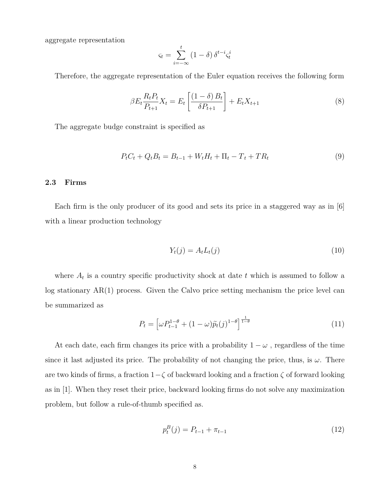aggregate representation

$$
\varsigma_t = \sum_{i=-\infty}^t (1-\delta) \, \delta^{t-i} \varsigma_t^i
$$

Therefore, the aggregate representation of the Euler equation receives the following form

$$
\beta E_t \frac{R_t P_t}{P_{t+1}} X_t = E_t \left[ \frac{(1 - \delta) B_t}{\delta P_{t+1}} \right] + E_t X_{t+1}
$$
\n(8)

The aggregate budge constraint is specified as

$$
P_t C_t + Q_t B_t = B_{t-1} + W_t H_t + \Pi_t - T_t + T R_t
$$
\n(9)

## **2.3 Firms**

Each firm is the only producer of its good and sets its price in a staggered way as in [6] with a linear production technology

$$
Y_t(j) = A_t L_t(j) \tag{10}
$$

where  $A_t$  is a country specific productivity shock at date  $t$  which is assumed to follow a log stationary AR(1) process. Given the Calvo price setting mechanism the price level can be summarized as

$$
P_t = \left[\omega P_{t-1}^{1-\theta} + (1-\omega)\tilde{p}_t(j)^{1-\theta}\right]^{\frac{1}{1-\theta}}
$$
\n(11)

At each date, each firm changes its price with a probability  $1 - \omega$ , regardless of the time since it last adjusted its price. The probability of not changing the price, thus, is  $\omega$ . There are two kinds of firms, a fraction 1−*ζ* of backward looking and a fraction *ζ* of forward looking as in [1]. When they reset their price, backward looking firms do not solve any maximization problem, but follow a rule-of-thumb specified as.

$$
p_t^B(j) = P_{t-1} + \pi_{t-1} \tag{12}
$$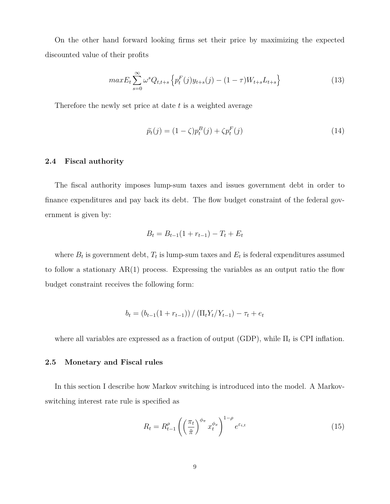On the other hand forward looking firms set their price by maximizing the expected discounted value of their profits

$$
maxE_t \sum_{s=0}^{\infty} \omega^s Q_{t,t+s} \left\{ p_t^F(j) y_{t+s}(j) - (1-\tau) W_{t+s} L_{t+s} \right\}
$$
 (13)

Therefore the newly set price at date *t* is a weighted average

$$
\widetilde{p}_t(j) = (1 - \zeta)p_t^B(j) + \zeta p_t^F(j)
$$
\n(14)

#### **2.4 Fiscal authority**

The fiscal authority imposes lump-sum taxes and issues government debt in order to finance expenditures and pay back its debt. The flow budget constraint of the federal government is given by:

$$
B_t = B_{t-1}(1 + r_{t-1}) - T_t + E_t
$$

where  $B_t$  is government debt,  $T_t$  is lump-sum taxes and  $E_t$  is federal expenditures assumed to follow a stationary  $AR(1)$  process. Expressing the variables as an output ratio the flow budget constraint receives the following form:

$$
b_t = (b_{t-1}(1 + r_{t-1})) / (\Pi_t Y_t / Y_{t-1}) - \tau_t + e_t
$$

where all variables are expressed as a fraction of output (GDP), while Π*<sup>t</sup>* is CPI inflation.

### **2.5 Monetary and Fiscal rules**

In this section I describe how Markov switching is introduced into the model. A Markovswitching interest rate rule is specified as

$$
R_t = R_{t-1}^{\rho} \left( \left( \frac{\pi_t}{\tilde{\pi}} \right)^{\phi_{\pi}} x_t^{\phi_x} \right)^{1-\rho} e^{\varepsilon_{i,t}} \tag{15}
$$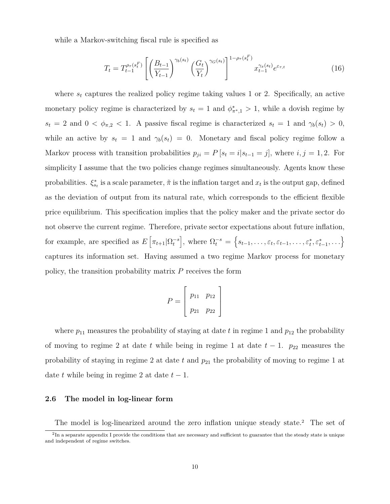while a Markov-switching fiscal rule is specified as

$$
T_t = T_{t-1}^{\rho_{\tau}(s_t^F)} \left[ \left( \frac{B_{t-1}}{Y_{t-1}} \right)^{\gamma_b(s_t)} \left( \frac{G_t}{Y_t} \right)^{\gamma_G(s_t)} \right]^{1 - \rho_{\tau}(s_t^F)} x_{t-1}^{\gamma_x(s_t)} e^{\varepsilon_{\tau,t}} \tag{16}
$$

where  $s_t$  captures the realized policy regime taking values 1 or 2. Specifically, an active monetary policy regime is characterized by  $s_t = 1$  and  $\phi^*_{\pi^*,1} > 1$ , while a dovish regime by  $s_t = 2$  and  $0 < \phi_{\pi,2} < 1$ . A passive fiscal regime is characterized  $s_t = 1$  and  $\gamma_b(s_t) > 0$ , while an active by  $s_t = 1$  and  $\gamma_b(s_t) = 0$ . Monetary and fiscal policy regime follow a Markov process with transition probabilities  $p_{ji} = P[s_t = i | s_{t-1} = j]$ , where  $i, j = 1, 2$ . For simplicity I assume that the two policies change regimes simultaneously. Agents know these probabilities.  $\xi_{s_t}^*$  is a scale parameter,  $\tilde{\pi}$  is the inflation target and  $x_t$  is the output gap, defined as the deviation of output from its natural rate, which corresponds to the efficient flexible price equilibrium. This specification implies that the policy maker and the private sector do not observe the current regime. Therefore, private sector expectations about future inflation, for example, are specified as  $E\left[\pi_{t+1}|\Omega_t^{-s}\right]$  $\left[ \text{where } \Omega_t^{-s} = \left\{ s_{t-1}, \ldots, \varepsilon_t, \varepsilon_{t-1}, \ldots, \varepsilon_t^*, \varepsilon_{t-1}^*, \ldots \right\} \right]$ captures its information set. Having assumed a two regime Markov process for monetary policy, the transition probability matrix *P* receives the form

$$
P = \left[ \begin{array}{cc} p_{11} & p_{12} \\ p_{21} & p_{22} \end{array} \right]
$$

where  $p_{11}$  measures the probability of staying at date  $t$  in regime 1 and  $p_{12}$  the probability of moving to regime 2 at date *t* while being in regime 1 at date  $t - 1$ .  $p_{22}$  measures the probability of staying in regime 2 at date t and  $p_{21}$  the probability of moving to regime 1 at date *t* while being in regime 2 at date  $t - 1$ .

## **2.6 The model in log-linear form**

The model is log-linearized around the zero inflation unique steady state.<sup>2</sup> The set of

 ${}^{2}$ In a separate appendix I provide the conditions that are necessary and sufficient to guarantee that the steady state is unique and independent of regime switches.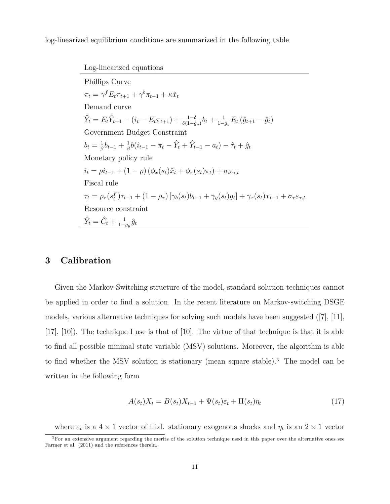log-linearized equilibrium conditions are summarized in the following table

Log-linearized equations Phillips Curve  $\pi_t = \gamma^f E_t \pi_{t+1} + \gamma^b \pi_{t-1} + \kappa \hat{x}_t$ Demand curve  $\hat{Y}_t = E_t \hat{Y}_{t+1} - (i_t - E_t \pi_{t+1}) + \frac{1-\delta}{\delta(1-g_y)} b_t + \frac{1}{1-g_y} E_t (\hat{g}_{t+1} - \hat{g}_t)$ Government Budget Constraint  $b_t = \frac{1}{\beta}b_{t-1} + \frac{1}{\beta}b(i_{t-1} - \pi_t - \hat{Y}_t + \hat{Y}_{t-1} - a_t) - \hat{\tau}_t + \hat{g}_t$ Monetary policy rule  $i_t = \rho i_{t-1} + (1 - \rho) (\phi_x(s_t)\hat{x}_t + \phi_\pi(s_t)\pi_t) + \sigma_i \varepsilon_{i,t}$ Fiscal rule  $\tau_t = \rho_{\tau}(s_t^F) \tau_{t-1} + (1 - \rho_{\tau}) [\gamma_b(s_t) b_{t-1} + \gamma_g(s_t) g_t] + \gamma_x(s_t) x_{t-1} + \sigma_{\tau} \varepsilon_{\tau,t}$ Resource constraint  $\hat{Y}_t = \hat{C}_t + \frac{1}{1-g_y}\hat{g}_t$ 

# **3 Calibration**

Given the Markov-Switching structure of the model, standard solution techniques cannot be applied in order to find a solution. In the recent literature on Markov-switching DSGE models, various alternative techniques for solving such models have been suggested ([7], [11], [17], [10]). The technique I use is that of [10]. The virtue of that technique is that it is able to find all possible minimal state variable (MSV) solutions. Moreover, the algorithm is able to find whether the MSV solution is stationary (mean square stable).<sup>3</sup> The model can be written in the following form

$$
A(st)Xt = B(st)Xt-1 + \Psi(st)\varepsilont + \Pi(st)\etat
$$
\n(17)

where  $\varepsilon_t$  is a  $4 \times 1$  vector of i.i.d. stationary exogenous shocks and  $\eta_t$  is an  $2 \times 1$  vector

 ${}^{3}$  For an extensive argument regarding the merits of the solution technique used in this paper over the alternative ones see Farmer et al. (2011) and the references therein.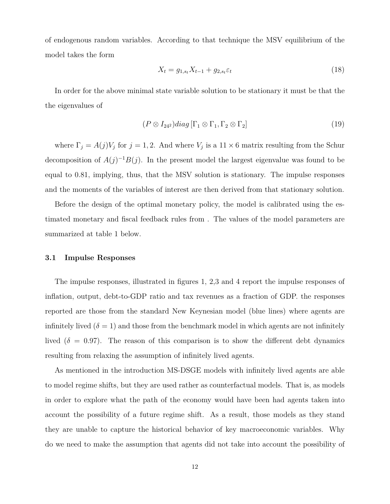of endogenous random variables. According to that technique the MSV equilibrium of the model takes the form

$$
X_t = g_{1,s_t} X_{t-1} + g_{2,s_t} \varepsilon_t \tag{18}
$$

In order for the above minimal state variable solution to be stationary it must be that the the eigenvalues of

$$
(P \otimes I_{242})diag[\Gamma_1 \otimes \Gamma_1, \Gamma_2 \otimes \Gamma_2]
$$
\n(19)

where  $\Gamma_j = A(j)V_j$  for  $j = 1, 2$ . And where  $V_j$  is a  $11 \times 6$  matrix resulting from the Schur decomposition of  $A(j)^{-1}B(j)$ . In the present model the largest eigenvalue was found to be equal to 0*.*81, implying, thus, that the MSV solution is stationary. The impulse responses and the moments of the variables of interest are then derived from that stationary solution.

Before the design of the optimal monetary policy, the model is calibrated using the estimated monetary and fiscal feedback rules from . The values of the model parameters are summarized at table 1 below.

#### **3.1 Impulse Responses**

The impulse responses, illustrated in figures 1, 2,3 and 4 report the impulse responses of inflation, output, debt-to-GDP ratio and tax revenues as a fraction of GDP. the responses reported are those from the standard New Keynesian model (blue lines) where agents are infinitely lived  $(\delta = 1)$  and those from the benchmark model in which agents are not infinitely lived ( $\delta = 0.97$ ). The reason of this comparison is to show the different debt dynamics resulting from relaxing the assumption of infinitely lived agents.

As mentioned in the introduction MS-DSGE models with infinitely lived agents are able to model regime shifts, but they are used rather as counterfactual models. That is, as models in order to explore what the path of the economy would have been had agents taken into account the possibility of a future regime shift. As a result, those models as they stand they are unable to capture the historical behavior of key macroeconomic variables. Why do we need to make the assumption that agents did not take into account the possibility of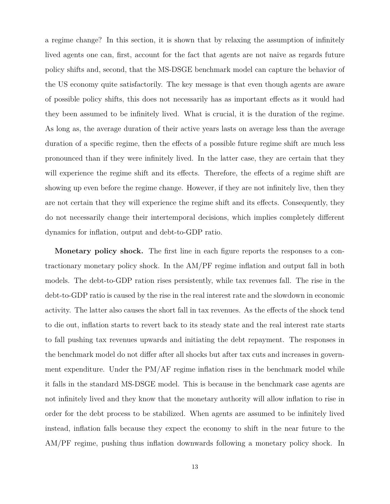a regime change? In this section, it is shown that by relaxing the assumption of infinitely lived agents one can, first, account for the fact that agents are not naive as regards future policy shifts and, second, that the MS-DSGE benchmark model can capture the behavior of the US economy quite satisfactorily. The key message is that even though agents are aware of possible policy shifts, this does not necessarily has as important effects as it would had they been assumed to be infinitely lived. What is crucial, it is the duration of the regime. As long as, the average duration of their active years lasts on average less than the average duration of a specific regime, then the effects of a possible future regime shift are much less pronounced than if they were infinitely lived. In the latter case, they are certain that they will experience the regime shift and its effects. Therefore, the effects of a regime shift are showing up even before the regime change. However, if they are not infinitely live, then they are not certain that they will experience the regime shift and its effects. Consequently, they do not necessarily change their intertemporal decisions, which implies completely different dynamics for inflation, output and debt-to-GDP ratio.

**Monetary policy shock.** The first line in each figure reports the responses to a contractionary monetary policy shock. In the AM/PF regime inflation and output fall in both models. The debt-to-GDP ration rises persistently, while tax revenues fall. The rise in the debt-to-GDP ratio is caused by the rise in the real interest rate and the slowdown in economic activity. The latter also causes the short fall in tax revenues. As the effects of the shock tend to die out, inflation starts to revert back to its steady state and the real interest rate starts to fall pushing tax revenues upwards and initiating the debt repayment. The responses in the benchmark model do not differ after all shocks but after tax cuts and increases in government expenditure. Under the PM/AF regime inflation rises in the benchmark model while it falls in the standard MS-DSGE model. This is because in the benchmark case agents are not infinitely lived and they know that the monetary authority will allow inflation to rise in order for the debt process to be stabilized. When agents are assumed to be infinitely lived instead, inflation falls because they expect the economy to shift in the near future to the AM/PF regime, pushing thus inflation downwards following a monetary policy shock. In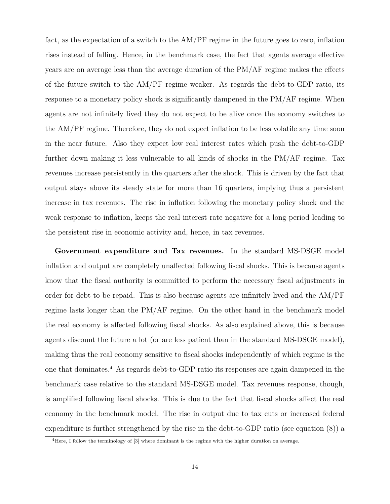fact, as the expectation of a switch to the AM/PF regime in the future goes to zero, inflation rises instead of falling. Hence, in the benchmark case, the fact that agents average effective years are on average less than the average duration of the PM/AF regime makes the effects of the future switch to the AM/PF regime weaker. As regards the debt-to-GDP ratio, its response to a monetary policy shock is significantly dampened in the PM/AF regime. When agents are not infinitely lived they do not expect to be alive once the economy switches to the AM/PF regime. Therefore, they do not expect inflation to be less volatile any time soon in the near future. Also they expect low real interest rates which push the debt-to-GDP further down making it less vulnerable to all kinds of shocks in the PM/AF regime. Tax revenues increase persistently in the quarters after the shock. This is driven by the fact that output stays above its steady state for more than 16 quarters, implying thus a persistent increase in tax revenues. The rise in inflation following the monetary policy shock and the weak response to inflation, keeps the real interest rate negative for a long period leading to the persistent rise in economic activity and, hence, in tax revenues.

**Government expenditure and Tax revenues.** In the standard MS-DSGE model inflation and output are completely unaffected following fiscal shocks. This is because agents know that the fiscal authority is committed to perform the necessary fiscal adjustments in order for debt to be repaid. This is also because agents are infinitely lived and the AM/PF regime lasts longer than the PM/AF regime. On the other hand in the benchmark model the real economy is affected following fiscal shocks. As also explained above, this is because agents discount the future a lot (or are less patient than in the standard MS-DSGE model), making thus the real economy sensitive to fiscal shocks independently of which regime is the one that dominates.<sup>4</sup> As regards debt-to-GDP ratio its responses are again dampened in the benchmark case relative to the standard MS-DSGE model. Tax revenues response, though, is amplified following fiscal shocks. This is due to the fact that fiscal shocks affect the real economy in the benchmark model. The rise in output due to tax cuts or increased federal expenditure is further strengthened by the rise in the debt-to-GDP ratio (see equation (8)) a

<sup>4</sup>Here, I follow the terminology of [3] where dominant is the regime with the higher duration on average.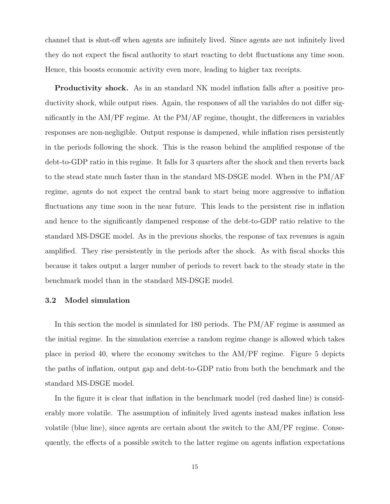channel that is shut-off when agents are infinitely lived. Since agents are not infinitely lived they do not expect the fiscal authority to start reacting to debt fluctuations any time soon. Hence, this boosts economic activity even more, leading to higher tax receipts.

**Productivity shock.** As in an standard NK model inflation falls after a positive productivity shock, while output rises. Again, the responses of all the variables do not differ significantly in the AM/PF regime. At the PM/AF regime, thought, the differences in variables responses are non-negligible. Output response is dampened, while inflation rises persistently in the periods following the shock. This is the reason behind the amplified response of the debt-to-GDP ratio in this regime. It falls for 3 quarters after the shock and then reverts back to the stead state much faster than in the standard MS-DSGE model. When in the PM/AF regime, agents do not expect the central bank to start being more aggressive to inflation fluctuations any time soon in the near future. This leads to the persistent rise in inflation and hence to the significantly dampened response of the debt-to-GDP ratio relative to the standard MS-DSGE model. As in the previous shocks, the response of tax revenues is again amplified. They rise persistently in the periods after the shock. As with fiscal shocks this because it takes output a larger number of periods to revert back to the steady state in the benchmark model than in the standard MS-DSGE model.

### **3.2 Model simulation**

In this section the model is simulated for 180 periods. The PM/AF regime is assumed as the initial regime. In the simulation exercise a random regime change is allowed which takes place in period 40, where the economy switches to the AM/PF regime. Figure 5 depicts the paths of inflation, output gap and debt-to-GDP ratio from both the benchmark and the standard MS-DSGE model.

In the figure it is clear that inflation in the benchmark model (red dashed line) is considerably more volatile. The assumption of infinitely lived agents instead makes inflation less volatile (blue line), since agents are certain about the switch to the AM/PF regime. Consequently, the effects of a possible switch to the latter regime on agents inflation expectations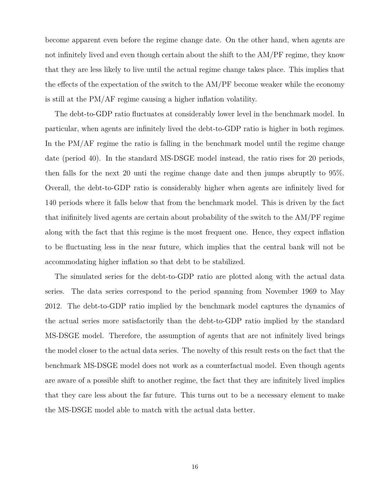become apparent even before the regime change date. On the other hand, when agents are not infinitely lived and even though certain about the shift to the AM/PF regime, they know that they are less likely to live until the actual regime change takes place. This implies that the effects of the expectation of the switch to the AM/PF become weaker while the economy is still at the PM/AF regime causing a higher inflation volatility.

The debt-to-GDP ratio fluctuates at considerably lower level in the benchmark model. In particular, when agents are infinitely lived the debt-to-GDP ratio is higher in both regimes. In the PM/AF regime the ratio is falling in the benchmark model until the regime change date (period 40). In the standard MS-DSGE model instead, the ratio rises for 20 periods, then falls for the next 20 unti the regime change date and then jumps abruptly to 95%. Overall, the debt-to-GDP ratio is considerably higher when agents are infinitely lived for 140 periods where it falls below that from the benchmark model. This is driven by the fact that inifinitely lived agents are certain about probability of the switch to the AM/PF regime along with the fact that this regime is the most frequent one. Hence, they expect inflation to be fluctuating less in the near future, which implies that the central bank will not be accommodating higher inflation so that debt to be stabilized.

The simulated series for the debt-to-GDP ratio are plotted along with the actual data series. The data series correspond to the period spanning from November 1969 to May 2012. The debt-to-GDP ratio implied by the benchmark model captures the dynamics of the actual series more satisfactorily than the debt-to-GDP ratio implied by the standard MS-DSGE model. Therefore, the assumption of agents that are not infinitely lived brings the model closer to the actual data series. The novelty of this result rests on the fact that the benchmark MS-DSGE model does not work as a counterfactual model. Even though agents are aware of a possible shift to another regime, the fact that they are infinitely lived implies that they care less about the far future. This turns out to be a necessary element to make the MS-DSGE model able to match with the actual data better.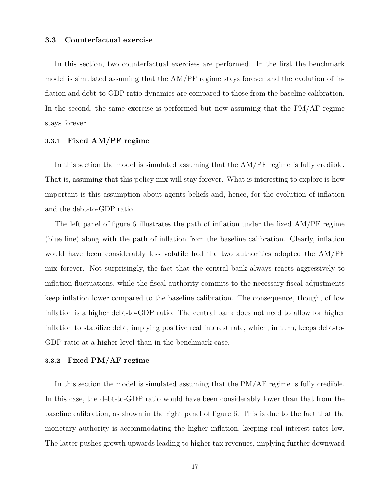#### **3.3 Counterfactual exercise**

In this section, two counterfactual exercises are performed. In the first the benchmark model is simulated assuming that the AM/PF regime stays forever and the evolution of inflation and debt-to-GDP ratio dynamics are compared to those from the baseline calibration. In the second, the same exercise is performed but now assuming that the PM/AF regime stays forever.

### **3.3.1 Fixed AM/PF regime**

In this section the model is simulated assuming that the AM/PF regime is fully credible. That is, assuming that this policy mix will stay forever. What is interesting to explore is how important is this assumption about agents beliefs and, hence, for the evolution of inflation and the debt-to-GDP ratio.

The left panel of figure 6 illustrates the path of inflation under the fixed AM/PF regime (blue line) along with the path of inflation from the baseline calibration. Clearly, inflation would have been considerably less volatile had the two authorities adopted the AM/PF mix forever. Not surprisingly, the fact that the central bank always reacts aggressively to inflation fluctuations, while the fiscal authority commits to the necessary fiscal adjustments keep inflation lower compared to the baseline calibration. The consequence, though, of low inflation is a higher debt-to-GDP ratio. The central bank does not need to allow for higher inflation to stabilize debt, implying positive real interest rate, which, in turn, keeps debt-to-GDP ratio at a higher level than in the benchmark case.

## **3.3.2 Fixed PM/AF regime**

In this section the model is simulated assuming that the PM/AF regime is fully credible. In this case, the debt-to-GDP ratio would have been considerably lower than that from the baseline calibration, as shown in the right panel of figure 6. This is due to the fact that the monetary authority is accommodating the higher inflation, keeping real interest rates low. The latter pushes growth upwards leading to higher tax revenues, implying further downward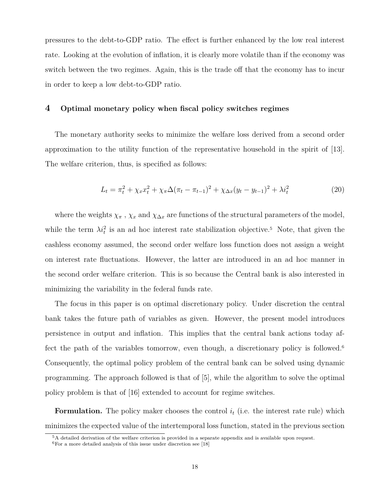pressures to the debt-to-GDP ratio. The effect is further enhanced by the low real interest rate. Looking at the evolution of inflation, it is clearly more volatile than if the economy was switch between the two regimes. Again, this is the trade off that the economy has to incur in order to keep a low debt-to-GDP ratio.

## **4 Optimal monetary policy when fiscal policy switches regimes**

The monetary authority seeks to minimize the welfare loss derived from a second order approximation to the utility function of the representative household in the spirit of [13]. The welfare criterion, thus, is specified as follows:

$$
L_t = \pi_t^2 + \chi_x x_t^2 + \chi_\pi \Delta (\pi_t - \pi_{t-1})^2 + \chi_{\Delta x} (y_t - y_{t-1})^2 + \lambda i_t^2
$$
\n(20)

where the weights  $\chi_{\pi}$ ,  $\chi_x$  and  $\chi_{\Delta x}$  are functions of the structural parameters of the model, while the term  $\lambda i_t^2$  is an ad hoc interest rate stabilization objective.<sup>5</sup> Note, that given the cashless economy assumed, the second order welfare loss function does not assign a weight on interest rate fluctuations. However, the latter are introduced in an ad hoc manner in the second order welfare criterion. This is so because the Central bank is also interested in minimizing the variability in the federal funds rate.

The focus in this paper is on optimal discretionary policy. Under discretion the central bank takes the future path of variables as given. However, the present model introduces persistence in output and inflation. This implies that the central bank actions today affect the path of the variables tomorrow, even though, a discretionary policy is followed.<sup>6</sup> Consequently, the optimal policy problem of the central bank can be solved using dynamic programming. The approach followed is that of [5], while the algorithm to solve the optimal policy problem is that of [16] extended to account for regime switches.

**Formulation.** The policy maker chooses the control  $i_t$  (i.e. the interest rate rule) which minimizes the expected value of the intertemporal loss function, stated in the previous section

<sup>5</sup>A detailed derivation of the welfare criterion is provided in a separate appendix and is available upon request.

 ${}^{6}$ For a more detailed analysis of this issue under discretion see [18]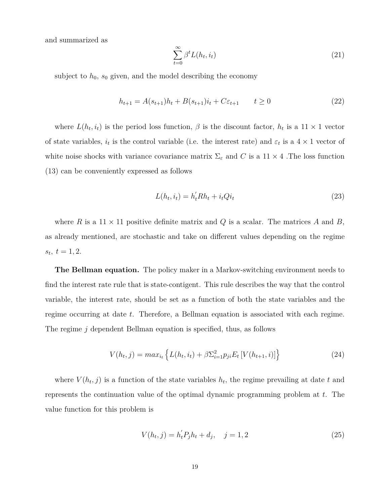and summarized as

$$
\sum_{t=0}^{\infty} \beta^t L(h_t, i_t) \tag{21}
$$

subject to  $h_0$ ,  $s_0$  given, and the model describing the economy

$$
h_{t+1} = A(s_{t+1})h_t + B(s_{t+1})i_t + C\varepsilon_{t+1} \qquad t \ge 0
$$
\n(22)

where  $L(h_t, i_t)$  is the period loss function,  $\beta$  is the discount factor,  $h_t$  is a  $11 \times 1$  vector of state variables,  $i_t$  is the control variable (i.e. the interest rate) and  $\varepsilon_t$  is a  $4 \times 1$  vector of white noise shocks with variance covariance matrix  $\Sigma_{\varepsilon}$  and *C* is a 11 × 4. The loss function (13) can be conveniently expressed as follows

$$
L(h_t, i_t) = h_t'Rh_t + i_tQi_t
$$
\n
$$
(23)
$$

where *R* is a  $11 \times 11$  positive definite matrix and *Q* is a scalar. The matrices *A* and *B*, as already mentioned, are stochastic and take on different values depending on the regime  $s_t, t = 1, 2.$ 

**The Bellman equation.** The policy maker in a Markov-switching environment needs to find the interest rate rule that is state-contigent. This rule describes the way that the control variable, the interest rate, should be set as a function of both the state variables and the regime occurring at date *t*. Therefore, a Bellman equation is associated with each regime. The regime *j* dependent Bellman equation is specified, thus, as follows

$$
V(h_t, j) = max_{i_t} \left\{ L(h_t, i_t) + \beta \sum_{i=1}^2 p_{ji} E_t \left[ V(h_{t+1}, i) \right] \right\}
$$
 (24)

where  $V(h_t, j)$  is a function of the state variables  $h_t$ , the regime prevailing at date  $t$  and represents the continuation value of the optimal dynamic programming problem at *t*. The value function for this problem is

$$
V(h_t, j) = h_t' P_j h_t + d_j, \quad j = 1, 2
$$
\n(25)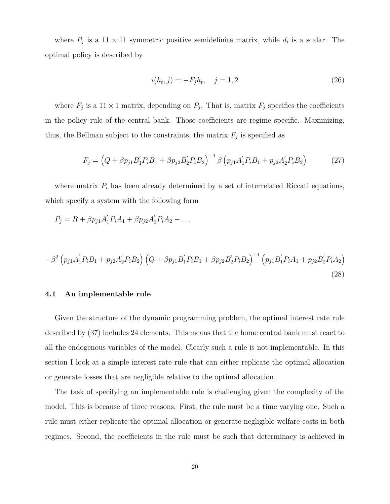where  $P_j$  is a 11 × 11 symmetric positive semidefinite matrix, while  $d_i$  is a scalar. The optimal policy is described by

$$
i(h_t, j) = -F_j h_t, \quad j = 1, 2
$$
\n(26)

where  $F_j$  is a 11  $\times$  1 matrix, depending on  $P_j$ . That is, matrix  $F_j$  specifies the coefficients in the policy rule of the central bank. Those coefficients are regime specific. Maximizing, thus, the Bellman subject to the constraints, the matrix  $F_j$  is specified as

$$
F_j = \left(Q + \beta p_{j1} B_1' P_i B_1 + \beta p_{j2} B_2' P_i B_2\right)^{-1} \beta \left(p_{j1} A_1' P_i B_1 + p_{j2} A_2' P_i B_2\right)
$$
(27)

where matrix  $P_i$  has been already determined by a set of interrelated Riccati equations, which specify a system with the following form

$$
P_j = R + \beta p_{j1} A'_1 P_i A_1 + \beta p_{j2} A'_2 P_i A_2 - \dots
$$

$$
-\beta^2 \left( p_{j1} A_1' P_i B_1 + p_{j2} A_2' P_i B_2 \right) \left( Q + \beta p_{j1} B_1' P_i B_1 + \beta p_{j2} B_2' P_i B_2 \right)^{-1} \left( p_{j1} B_1' P_i A_1 + p_{j2} B_2' P_i A_2 \right)
$$
\n(28)

## **4.1 An implementable rule**

Given the structure of the dynamic programming problem, the optimal interest rate rule described by (37) includes 24 elements. This means that the home central bank must react to all the endogenous variables of the model. Clearly such a rule is not implementable. In this section I look at a simple interest rate rule that can either replicate the optimal allocation or generate losses that are negligible relative to the optimal allocation.

The task of specifying an implementable rule is challenging given the complexity of the model. This is because of three reasons. First, the rule must be a time varying one. Such a rule must either replicate the optimal allocation or generate negligible welfare costs in both regimes. Second, the coefficients in the rule must be such that determinacy is achieved in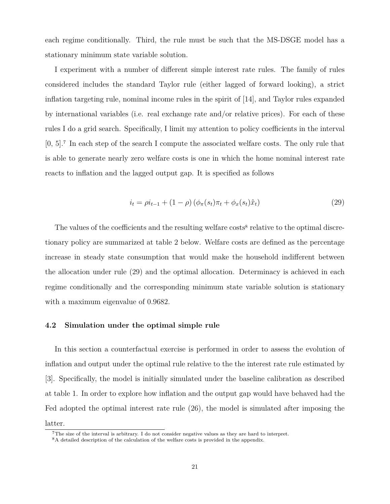each regime conditionally. Third, the rule must be such that the MS-DSGE model has a stationary minimum state variable solution.

I experiment with a number of different simple interest rate rules. The family of rules considered includes the standard Taylor rule (either lagged of forward looking), a strict inflation targeting rule, nominal income rules in the spirit of [14], and Taylor rules expanded by international variables (i.e. real exchange rate and/or relative prices). For each of these rules I do a grid search. Specifically, I limit my attention to policy coefficients in the interval [0, 5].<sup>7</sup> In each step of the search I compute the associated welfare costs. The only rule that is able to generate nearly zero welfare costs is one in which the home nominal interest rate reacts to inflation and the lagged output gap. It is specified as follows

$$
i_t = \rho i_{t-1} + (1 - \rho) \left( \phi_\pi(s_t) \pi_t + \phi_x(s_t) \hat{x}_t \right) \tag{29}
$$

The values of the coefficients and the resulting welfare costs<sup>8</sup> relative to the optimal discretionary policy are summarized at table 2 below. Welfare costs are defined as the percentage increase in steady state consumption that would make the household indifferent between the allocation under rule (29) and the optimal allocation. Determinacy is achieved in each regime conditionally and the corresponding minimum state variable solution is stationary with a maximum eigenvalue of 0.9682.

#### **4.2 Simulation under the optimal simple rule**

In this section a counterfactual exercise is performed in order to assess the evolution of inflation and output under the optimal rule relative to the the interest rate rule estimated by [3]. Specifically, the model is initially simulated under the baseline calibration as described at table 1. In order to explore how inflation and the output gap would have behaved had the Fed adopted the optimal interest rate rule (26), the model is simulated after imposing the latter.

<sup>7</sup>The size of the interval is arbitrary. I do not consider negative values as they are hard to interpret.

<sup>8</sup>A detailed description of the calculation of the welfare costs is provided in the appendix.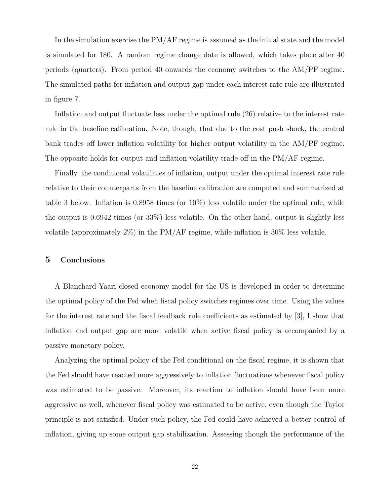In the simulation exercise the PM/AF regime is assumed as the initial state and the model is simulated for 180. A random regime change date is allowed, which takes place after 40 periods (quarters). From period 40 onwards the economy switches to the AM/PF regime. The simulated paths for inflation and output gap under each interest rate rule are illustrated in figure 7.

Inflation and output fluctuate less under the optimal rule (26) relative to the interest rate rule in the baseline calibration. Note, though, that due to the cost push shock, the central bank trades off lower inflation volatility for higher output volatility in the AM/PF regime. The opposite holds for output and inflation volatility trade off in the PM/AF regime.

Finally, the conditional volatilities of inflation, output under the optimal interest rate rule relative to their counterparts from the baseline calibration are computed and summarized at table 3 below. Inflation is 0.8958 times (or 10%) less volatile under the optimal rule, while the output is 0.6942 times (or 33%) less volatile. On the other hand, output is slightly less volatile (approximately  $2\%$ ) in the PM/AF regime, while inflation is  $30\%$  less volatile.

## **5 Conclusions**

A Blanchard-Yaari closed economy model for the US is developed in order to determine the optimal policy of the Fed when fiscal policy switches regimes over time. Using the values for the interest rate and the fiscal feedback rule coefficients as estimated by [3], I show that inflation and output gap are more volatile when active fiscal policy is accompanied by a passive monetary policy.

Analyzing the optimal policy of the Fed conditional on the fiscal regime, it is shown that the Fed should have reacted more aggressively to inflation fluctuations whenever fiscal policy was estimated to be passive. Moreover, its reaction to inflation should have been more aggressive as well, whenever fiscal policy was estimated to be active, even though the Taylor principle is not satisfied. Under such policy, the Fed could have achieved a better control of inflation, giving up some output gap stabilization. Assessing though the performance of the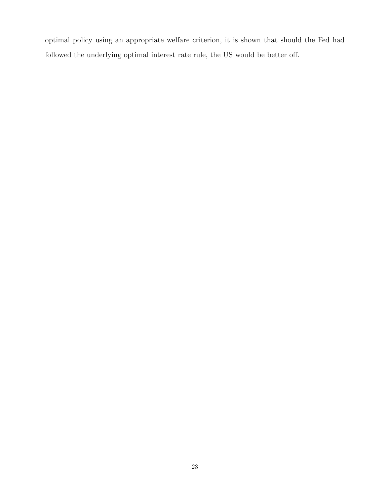optimal policy using an appropriate welfare criterion, it is shown that should the Fed had followed the underlying optimal interest rate rule, the US would be better off.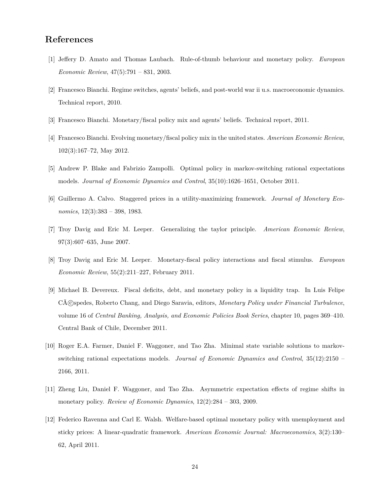# **References**

- [1] Jeffery D. Amato and Thomas Laubach. Rule-of-thumb behaviour and monetary policy. *European Economic Review*, 47(5):791 – 831, 2003.
- [2] Francesco Bianchi. Regime switches, agents' beliefs, and post-world war ii u.s. macroeconomic dynamics. Technical report, 2010.
- [3] Francesco Bianchi. Monetary/fiscal policy mix and agents' beliefs. Technical report, 2011.
- [4] Francesco Bianchi. Evolving monetary/fiscal policy mix in the united states. *American Economic Review*, 102(3):167–72, May 2012.
- [5] Andrew P. Blake and Fabrizio Zampolli. Optimal policy in markov-switching rational expectations models. *Journal of Economic Dynamics and Control*, 35(10):1626–1651, October 2011.
- [6] Guillermo A. Calvo. Staggered prices in a utility-maximizing framework. *Journal of Monetary Economics*, 12(3):383 – 398, 1983.
- [7] Troy Davig and Eric M. Leeper. Generalizing the taylor principle. *American Economic Review*, 97(3):607–635, June 2007.
- [8] Troy Davig and Eric M. Leeper. Monetary-fiscal policy interactions and fiscal stimulus. *European Economic Review*, 55(2):211–227, February 2011.
- [9] Michael B. Devereux. Fiscal deficits, debt, and monetary policy in a liquidity trap. In Luis Felipe CÃ%c spedes, Roberto Chang, and Diego Saravia, editors, *Monetary Policy under Financial Turbulence*, volume 16 of *Central Banking, Analysis, and Economic Policies Book Series*, chapter 10, pages 369–410. Central Bank of Chile, December 2011.
- [10] Roger E.A. Farmer, Daniel F. Waggoner, and Tao Zha. Minimal state variable solutions to markovswitching rational expectations models. *Journal of Economic Dynamics and Control*, 35(12):2150 – 2166, 2011.
- [11] Zheng Liu, Daniel F. Waggoner, and Tao Zha. Asymmetric expectation effects of regime shifts in monetary policy. *Review of Economic Dynamics*, 12(2):284 – 303, 2009.
- [12] Federico Ravenna and Carl E. Walsh. Welfare-based optimal monetary policy with unemployment and sticky prices: A linear-quadratic framework. *American Economic Journal: Macroeconomics*, 3(2):130– 62, April 2011.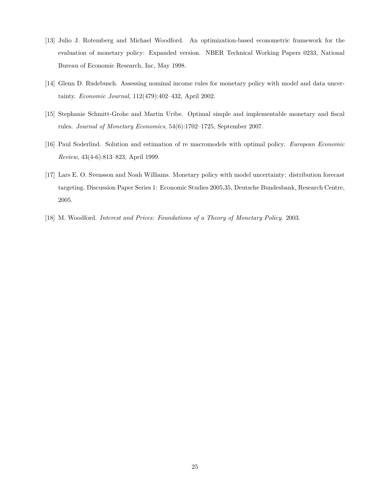- [13] Julio J. Rotemberg and Michael Woodford. An optimization-based econometric framework for the evaluation of monetary policy: Expanded version. NBER Technical Working Papers 0233, National Bureau of Economic Research, Inc, May 1998.
- [14] Glenn D. Rudebusch. Assessing nominal income rules for monetary policy with model and data uncertainty. *Economic Journal*, 112(479):402–432, April 2002.
- [15] Stephanie Schmitt-Grohe and Martin Uribe. Optimal simple and implementable monetary and fiscal rules. *Journal of Monetary Economics*, 54(6):1702–1725, September 2007.
- [16] Paul Soderlind. Solution and estimation of re macromodels with optimal policy. *European Economic Review*, 43(4-6):813–823, April 1999.
- [17] Lars E. O. Svensson and Noah Williams. Monetary policy with model uncertainty: distribution forecast targeting. Discussion Paper Series 1: Economic Studies 2005,35, Deutsche Bundesbank, Research Centre, 2005.
- [18] M. Woodford. *Interest and Prices: Foundations of a Theory of Monetary Policy*. 2003.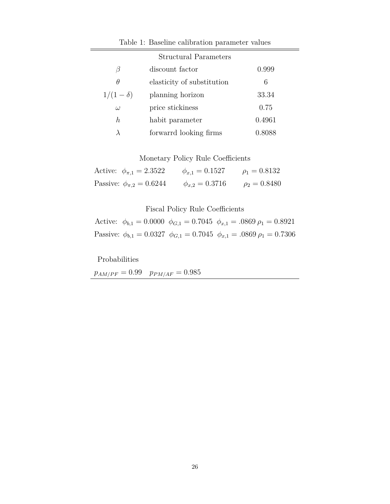|                | <b>Structural Parameters</b> |        |
|----------------|------------------------------|--------|
| β              | discount factor              | 0.999  |
| $\theta$       | elasticity of substitution   | 6      |
| $1/(1-\delta)$ | planning horizon             | 33.34  |
| $\omega$       | price stickiness             | 0.75   |
| h              | habit parameter              | 0.4961 |
|                | forwarrd looking firms       | 0.8088 |

# Table 1: Baseline calibration parameter values

# Monetary Policy Rule Coefficients

| Active: $\phi_{\pi,1} = 2.3522$  | $\phi_{x,1} = 0.1527$ | $\rho_1 = 0.8132$ |
|----------------------------------|-----------------------|-------------------|
| Passive: $\phi_{\pi,2} = 0.6244$ | $\phi_{x,2} = 0.3716$ | $\rho_2 = 0.8480$ |

# Fiscal Policy Rule Coefficients

|  | Active: $\phi_{b,1} = 0.0000 \phi_{G,1} = 0.7045 \phi_{x,1} = .0869 \rho_1 = 0.8921$  |
|--|---------------------------------------------------------------------------------------|
|  | Passive: $\phi_{b,1} = 0.0327 \phi_{G,1} = 0.7045 \phi_{x,1} = .0869 \rho_1 = 0.7306$ |

Probabilities

 $p_{AM/PF} = 0.99$   $p_{PM/AF} = 0.985$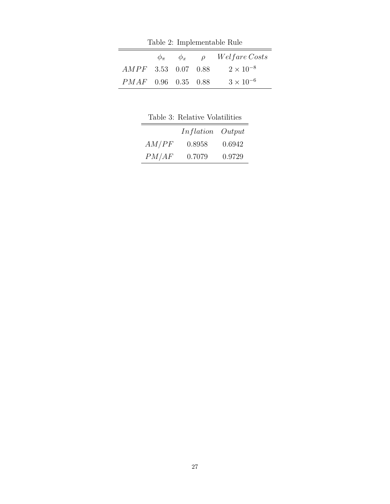Table 2: Implementable Rule

|                       | $\phi_{\pi}$ $\phi_{x}$ $\rho$ | <i>Welfare Costs</i> |
|-----------------------|--------------------------------|----------------------|
| $AMPF$ 3.53 0.07 0.88 |                                | $2 \times 10^{-8}$   |
| $PMAF$ 0.96 0.35 0.88 |                                | $3 \times 10^{-6}$   |

Table 3: Relative Volatilities

|       | Inflation Output |        |
|-------|------------------|--------|
| AM/PF | 0.8958           | 0.6942 |
| PM/AF | 0.7079           | 0.9729 |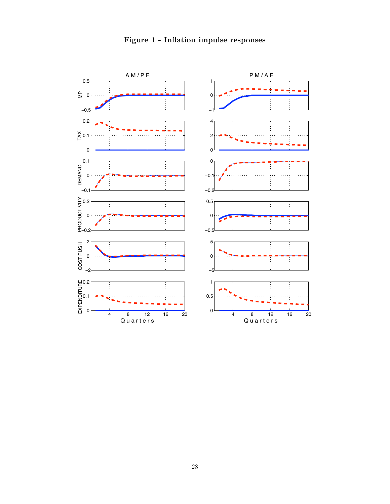

# **Figure 1 - Inflation impulse responses**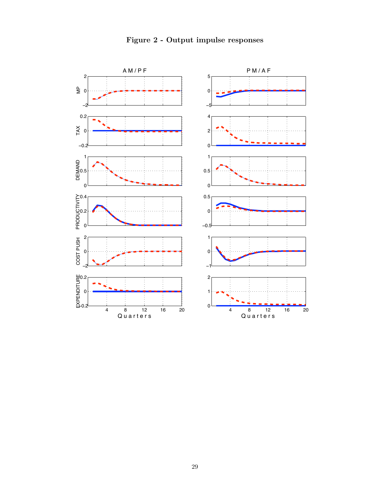![](_page_28_Figure_0.jpeg)

**Figure 2 - Output impulse responses**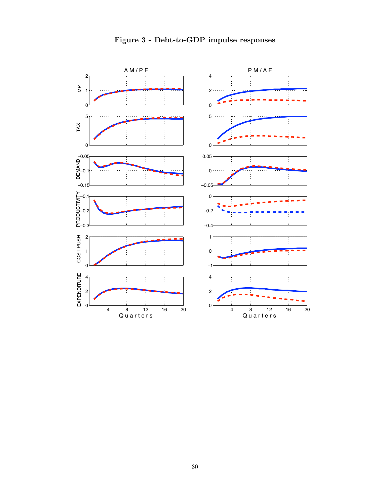![](_page_29_Figure_0.jpeg)

# **Figure 3 - Debt-to-GDP impulse responses**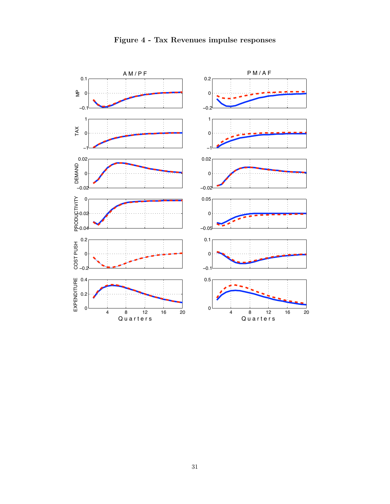![](_page_30_Figure_0.jpeg)

# **Figure 4 - Tax Revenues impulse responses**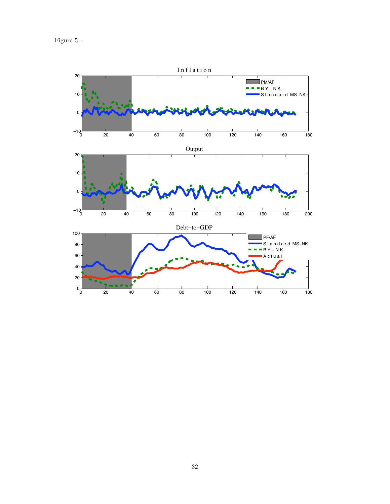![](_page_31_Figure_1.jpeg)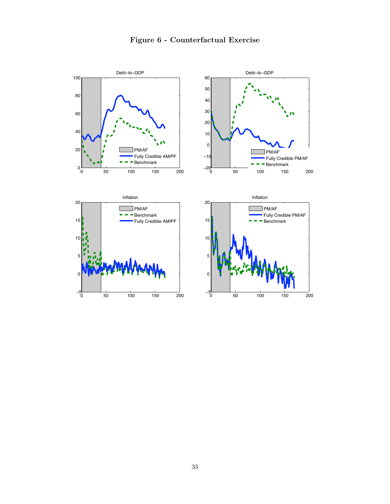# **Figure 6 - Counterfactual Exercise**

![](_page_32_Figure_1.jpeg)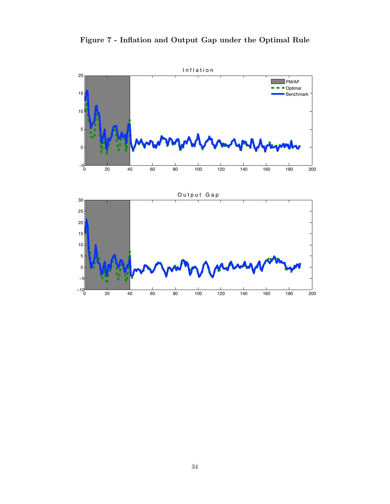![](_page_33_Figure_0.jpeg)

![](_page_33_Figure_1.jpeg)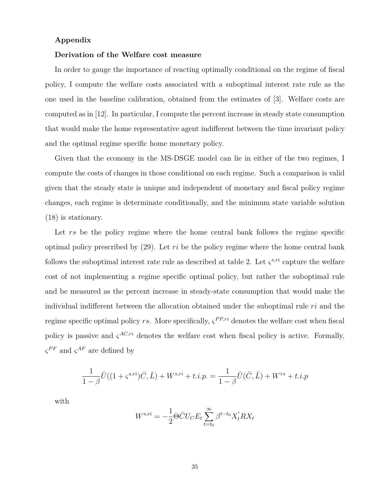### **Appendix**

#### **Derivation of the Welfare cost measure**

In order to gauge the importance of reacting optimally conditional on the regime of fiscal policy, I compute the welfare costs associated with a suboptimal interest rate rule as the one used in the baseline calibration, obtained from the estimates of [3]. Welfare costs are computed as in [12]. In particular, I compute the percent increase in steady state consumption that would make the home representative agent indifferent between the time invariant policy and the optimal regime specific home monetary policy.

Given that the economy in the MS-DSGE model can lie in either of the two regimes, I compute the costs of changes in those conditional on each regime. Such a comparison is valid given that the steady state is unique and independent of monetary and fiscal policy regime changes, each regime is determinate conditionally, and the minimum state variable solution (18) is stationary.

Let *rs* be the policy regime where the home central bank follows the regime specific optimal policy prescribed by (29). Let *ri* be the policy regime where the home central bank follows the suboptimal interest rate rule as described at table 2. Let  $\zeta^{s,ri}$  capture the welfare cost of not implementing a regime specific optimal policy, but rather the suboptimal rule and be measured as the percent increase in steady-state consumption that would make the individual indifferent between the allocation obtained under the suboptimal rule *ri* and the regime specific optimal policy *rs*. More specifically,  $\zeta^{PF,r_i}$  denotes the welfare cost when fiscal policy is passive and  $\zeta^{AC,ri}$  denotes the welfare cost when fiscal policy is active. Formally,  $\varsigma^{PF}$  and  $\varsigma^{AF}$  are defined by

$$
\frac{1}{1-\beta}\bar{U}((1+\varsigma^{s,ri})\bar{C}, \bar{L}) + W^{s,ri} + t.i.p. = \frac{1}{1-\beta}\bar{U}(\bar{C}, \bar{L}) + W^{rs} + t.i.p.
$$

with

$$
W^{s,ri} = -\frac{1}{2}\Theta\bar{C}U_C E_t \sum_{t=t_0}^{\infty} \beta^{t-t_0} X_t' R X_t
$$